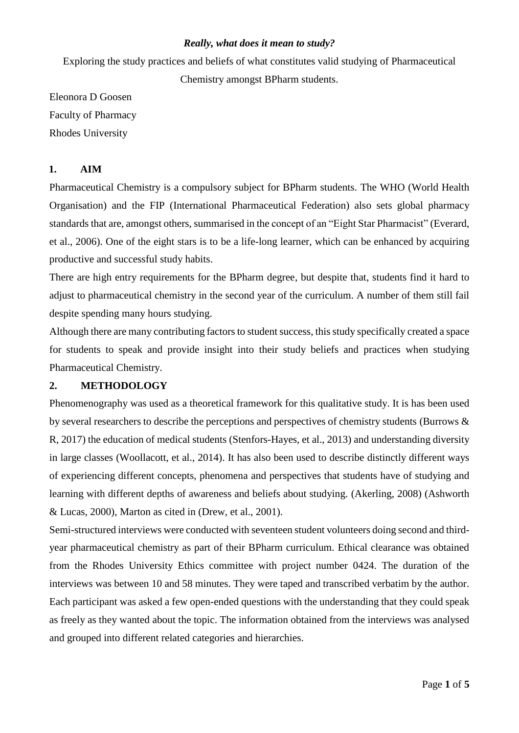#### *Really, what does it mean to study?*

Exploring the study practices and beliefs of what constitutes valid studying of Pharmaceutical

Chemistry amongst BPharm students.

Eleonora D Goosen Faculty of Pharmacy Rhodes University

#### **1. AIM**

Pharmaceutical Chemistry is a compulsory subject for BPharm students. The WHO (World Health Organisation) and the FIP (International Pharmaceutical Federation) also sets global pharmacy standards that are, amongst others, summarised in the concept of an "Eight Star Pharmacist" (Everard, et al., 2006). One of the eight stars is to be a life-long learner, which can be enhanced by acquiring productive and successful study habits.

There are high entry requirements for the BPharm degree, but despite that, students find it hard to adjust to pharmaceutical chemistry in the second year of the curriculum. A number of them still fail despite spending many hours studying.

Although there are many contributing factors to student success, this study specifically created a space for students to speak and provide insight into their study beliefs and practices when studying Pharmaceutical Chemistry.

### **2. METHODOLOGY**

Phenomenography was used as a theoretical framework for this qualitative study. It is has been used by several researchers to describe the perceptions and perspectives of chemistry students (Burrows & R, 2017) the education of medical students (Stenfors-Hayes, et al., 2013) and understanding diversity in large classes (Woollacott, et al., 2014). It has also been used to describe distinctly different ways of experiencing different concepts, phenomena and perspectives that students have of studying and learning with different depths of awareness and beliefs about studying. (Akerling, 2008) (Ashworth & Lucas, 2000), Marton as cited in (Drew, et al., 2001).

Semi-structured interviews were conducted with seventeen student volunteers doing second and thirdyear pharmaceutical chemistry as part of their BPharm curriculum. Ethical clearance was obtained from the Rhodes University Ethics committee with project number 0424. The duration of the interviews was between 10 and 58 minutes. They were taped and transcribed verbatim by the author. Each participant was asked a few open-ended questions with the understanding that they could speak as freely as they wanted about the topic. The information obtained from the interviews was analysed and grouped into different related categories and hierarchies.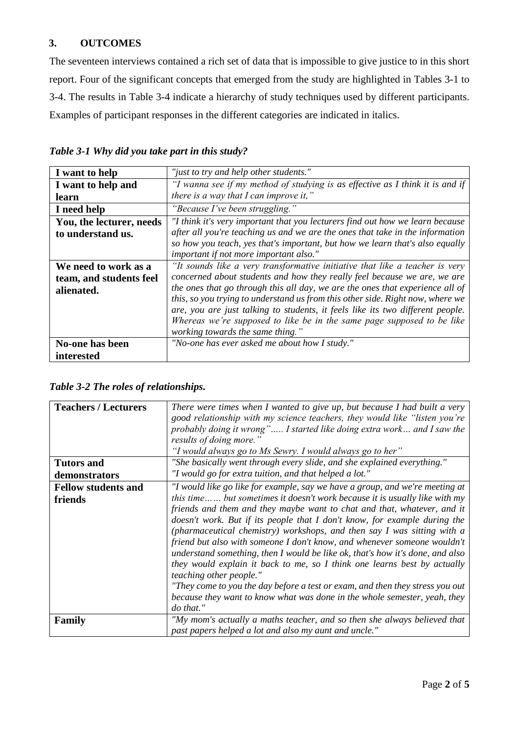# **3. OUTCOMES**

The seventeen interviews contained a rich set of data that is impossible to give justice to in this short report. Four of the significant concepts that emerged from the study are highlighted in Tables 3-1 to 3-4. The results in Table 3-4 indicate a hierarchy of study techniques used by different participants. Examples of participant responses in the different categories are indicated in italics.

|  | Table 3-1 Why did you take part in this study? |  |  |
|--|------------------------------------------------|--|--|
|--|------------------------------------------------|--|--|

| I want to help           | "just to try and help other students."                                         |  |
|--------------------------|--------------------------------------------------------------------------------|--|
| I want to help and       | "I wanna see if my method of studying is as effective as I think it is and if  |  |
| learn                    | there is a way that $I$ can improve it,"                                       |  |
| I need help              | "Because I've been struggling."                                                |  |
| You, the lecturer, needs | "I think it's very important that you lecturers find out how we learn because  |  |
| to understand us.        | after all you're teaching us and we are the ones that take in the information  |  |
|                          | so how you teach, yes that's important, but how we learn that's also equally   |  |
|                          | important if not more important also."                                         |  |
| We need to work as a     | "It sounds like a very transformative initiative that like a teacher is very   |  |
| team, and students feel  | concerned about students and how they really feel because we are, we are       |  |
| alienated.               | the ones that go through this all day, we are the ones that experience all of  |  |
|                          | this, so you trying to understand us from this other side. Right now, where we |  |
|                          | are, you are just talking to students, it feels like its two different people. |  |
|                          | Whereas we're supposed to like be in the same page supposed to be like         |  |
|                          | working towards the same thing."                                               |  |
| No-one has been          | "No-one has ever asked me about how I study."                                  |  |
| interested               |                                                                                |  |

| Table 3-2 The roles of relationships. |
|---------------------------------------|
|---------------------------------------|

| <b>Teachers / Lecturers</b>           | There were times when I wanted to give up, but because I had built a very<br>good relationship with my science teachers, they would like "listen you're<br>probably doing it wrong" I started like doing extra work and I saw the<br>results of doing more."                                                                                                                                                                                                                                                                                                                                                                                                                                                                                                                                                                                          |
|---------------------------------------|-------------------------------------------------------------------------------------------------------------------------------------------------------------------------------------------------------------------------------------------------------------------------------------------------------------------------------------------------------------------------------------------------------------------------------------------------------------------------------------------------------------------------------------------------------------------------------------------------------------------------------------------------------------------------------------------------------------------------------------------------------------------------------------------------------------------------------------------------------|
|                                       | "I would always go to Ms Sewry. I would always go to her"                                                                                                                                                                                                                                                                                                                                                                                                                                                                                                                                                                                                                                                                                                                                                                                             |
| <b>Tutors and</b><br>demonstrators    | "She basically went through every slide, and she explained everything."<br>"I would go for extra tuition, and that helped a lot."                                                                                                                                                                                                                                                                                                                                                                                                                                                                                                                                                                                                                                                                                                                     |
| <b>Fellow students and</b><br>friends | "I would like go like for example, say we have a group, and we're meeting at<br>this time but sometimes it doesn't work because it is usually like with my<br>friends and them and they maybe want to chat and that, whatever, and it<br>doesn't work. But if its people that I don't know, for example during the<br>(pharmaceutical chemistry) workshops, and then say $I$ was sitting with a<br>friend but also with someone I don't know, and whenever someone wouldn't<br>understand something, then I would be like ok, that's how it's done, and also<br>they would explain it back to me, so I think one learns best by actually<br><i>teaching other people."</i><br>"They come to you the day before a test or exam, and then they stress you out<br>because they want to know what was done in the whole semester, yeah, they<br>do that." |
| Family                                | "My mom's actually a maths teacher, and so then she always believed that<br>past papers helped a lot and also my aunt and uncle."                                                                                                                                                                                                                                                                                                                                                                                                                                                                                                                                                                                                                                                                                                                     |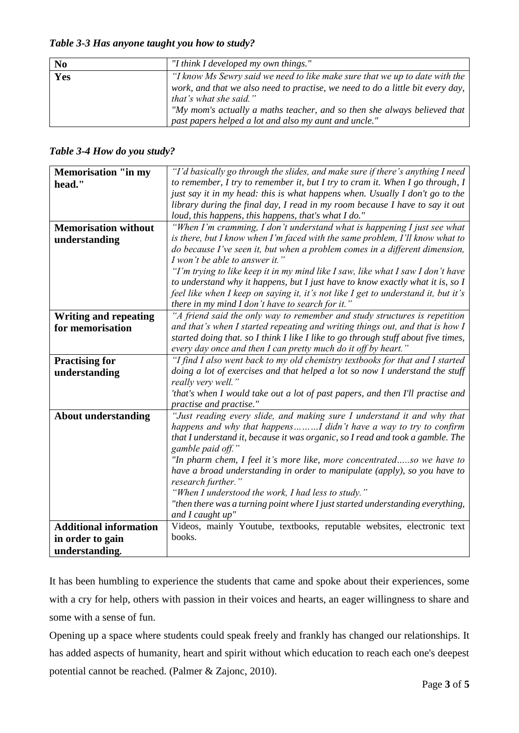*Table 3-3 Has anyone taught you how to study?*

| N <sub>0</sub> | "I think I developed my own things."                                                                                                                                                                                                                                                                                         |
|----------------|------------------------------------------------------------------------------------------------------------------------------------------------------------------------------------------------------------------------------------------------------------------------------------------------------------------------------|
| Yes            | "I know Ms Sewry said we need to like make sure that we up to date with the<br>work, and that we also need to practise, we need to do a little bit every day,<br>that's what she said."<br>"My mom's actually a maths teacher, and so then she always believed that<br>past papers helped a lot and also my aunt and uncle." |

## *Table 3-4 How do you study?*

| <b>Memorisation "in my</b>    | "I'd basically go through the slides, and make sure if there's anything I need                      |  |
|-------------------------------|-----------------------------------------------------------------------------------------------------|--|
| head."                        | to remember, I try to remember it, but I try to cram it. When I go through, I                       |  |
|                               | just say it in my head: this is what happens when. Usually I don't go to the                        |  |
|                               | library during the final day, I read in my room because I have to say it out                        |  |
|                               | loud, this happens, this happens, that's what I do."                                                |  |
| <b>Memorisation without</b>   | "When I'm cramming, I don't understand what is happening I just see what                            |  |
| understanding                 | is there, but I know when I'm faced with the same problem, I'll know what to                        |  |
|                               | do because I've seen it, but when a problem comes in a different dimension,                         |  |
|                               | I won't be able to answer it."                                                                      |  |
|                               | "I'm trying to like keep it in my mind like I saw, like what I saw I don't have                     |  |
|                               | to understand why it happens, but I just have to know exactly what it is, so I                      |  |
|                               | feel like when I keep on saying it, it's not like I get to understand it, but it's                  |  |
|                               | there in my mind I don't have to search for it."                                                    |  |
| <b>Writing and repeating</b>  | "A friend said the only way to remember and study structures is repetition                          |  |
| for memorisation              | and that's when I started repeating and writing things out, and that is how I                       |  |
|                               | started doing that. so I think I like I like to go through stuff about five times,                  |  |
|                               | every day once and then I can pretty much do it off by heart."                                      |  |
| <b>Practising for</b>         | "I find I also went back to my old chemistry textbooks for that and I started                       |  |
| understanding                 | doing a lot of exercises and that helped a lot so now I understand the stuff                        |  |
|                               | really very well."                                                                                  |  |
|                               | 'that's when I would take out a lot of past papers, and then I'll practise and                      |  |
|                               | practise and practise."                                                                             |  |
| <b>About understanding</b>    | "Just reading every slide, and making sure I understand it and why that                             |  |
|                               | happens and why that happensI didn't have a way to try to confirm                                   |  |
|                               | that I understand it, because it was organic, so I read and took a gamble. The<br>gamble paid off." |  |
|                               | "In pharm chem, I feel it's more like, more concentratedso we have to                               |  |
|                               | have a broad understanding in order to manipulate (apply), so you have to                           |  |
|                               | research further."                                                                                  |  |
|                               | "When I understood the work, I had less to study."                                                  |  |
|                               | "then there was a turning point where I just started understanding everything,                      |  |
|                               | and I caught up"                                                                                    |  |
| <b>Additional information</b> | Videos, mainly Youtube, textbooks, reputable websites, electronic text                              |  |
| in order to gain              | books.                                                                                              |  |
| understanding.                |                                                                                                     |  |

It has been humbling to experience the students that came and spoke about their experiences, some with a cry for help, others with passion in their voices and hearts, an eager willingness to share and some with a sense of fun.

Opening up a space where students could speak freely and frankly has changed our relationships. It has added aspects of humanity, heart and spirit without which education to reach each one's deepest potential cannot be reached. (Palmer & Zajonc, 2010).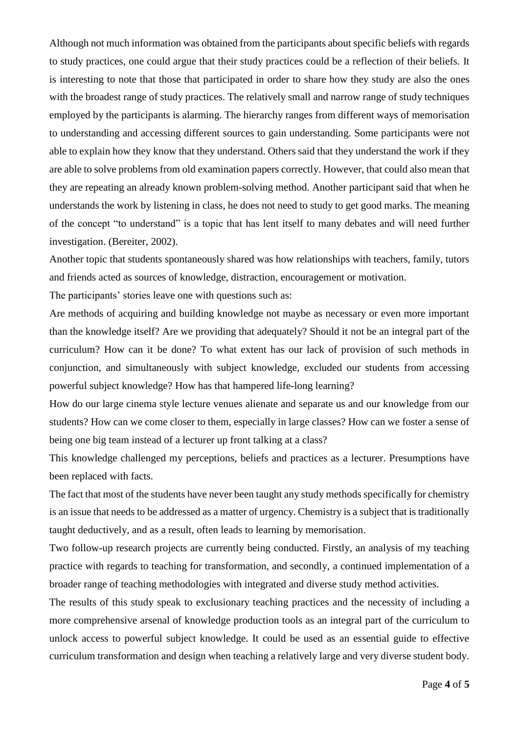Although not much information was obtained from the participants about specific beliefs with regards to study practices, one could argue that their study practices could be a reflection of their beliefs. It is interesting to note that those that participated in order to share how they study are also the ones with the broadest range of study practices. The relatively small and narrow range of study techniques employed by the participants is alarming. The hierarchy ranges from different ways of memorisation to understanding and accessing different sources to gain understanding. Some participants were not able to explain how they know that they understand. Others said that they understand the work if they are able to solve problems from old examination papers correctly. However, that could also mean that they are repeating an already known problem-solving method. Another participant said that when he understands the work by listening in class, he does not need to study to get good marks. The meaning of the concept "to understand" is a topic that has lent itself to many debates and will need further investigation. (Bereiter, 2002).

Another topic that students spontaneously shared was how relationships with teachers, family, tutors and friends acted as sources of knowledge, distraction, encouragement or motivation.

The participants' stories leave one with questions such as:

Are methods of acquiring and building knowledge not maybe as necessary or even more important than the knowledge itself? Are we providing that adequately? Should it not be an integral part of the curriculum? How can it be done? To what extent has our lack of provision of such methods in conjunction, and simultaneously with subject knowledge, excluded our students from accessing powerful subject knowledge? How has that hampered life-long learning?

How do our large cinema style lecture venues alienate and separate us and our knowledge from our students? How can we come closer to them, especially in large classes? How can we foster a sense of being one big team instead of a lecturer up front talking at a class?

This knowledge challenged my perceptions, beliefs and practices as a lecturer. Presumptions have been replaced with facts.

The fact that most of the students have never been taught any study methods specifically for chemistry is an issue that needs to be addressed as a matter of urgency. Chemistry is a subject that is traditionally taught deductively, and as a result, often leads to learning by memorisation.

Two follow-up research projects are currently being conducted. Firstly, an analysis of my teaching practice with regards to teaching for transformation, and secondly, a continued implementation of a broader range of teaching methodologies with integrated and diverse study method activities.

The results of this study speak to exclusionary teaching practices and the necessity of including a more comprehensive arsenal of knowledge production tools as an integral part of the curriculum to unlock access to powerful subject knowledge. It could be used as an essential guide to effective curriculum transformation and design when teaching a relatively large and very diverse student body.